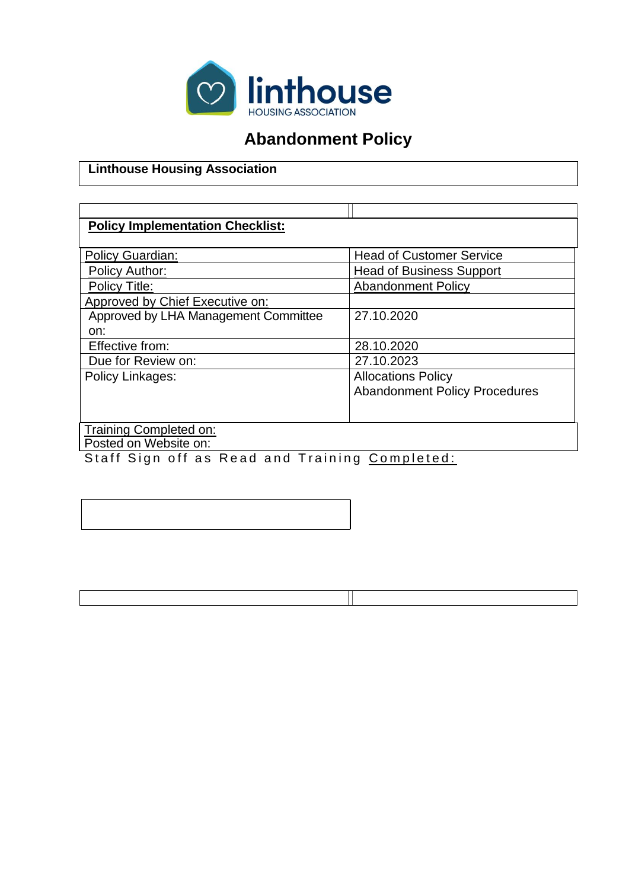

# **Abandonment Policy**

#### **Linthouse Housing Association**

#### **Policy Implementation Checklist:**

| Policy Guardian:                     | <b>Head of Customer Service</b>      |  |
|--------------------------------------|--------------------------------------|--|
| <b>Policy Author:</b>                | <b>Head of Business Support</b>      |  |
| Policy Title:                        | <b>Abandonment Policy</b>            |  |
| Approved by Chief Executive on:      |                                      |  |
| Approved by LHA Management Committee | 27.10.2020                           |  |
| on:                                  |                                      |  |
| Effective from:                      | 28.10.2020                           |  |
| Due for Review on:                   | 27.10.2023                           |  |
| Policy Linkages:                     | <b>Allocations Policy</b>            |  |
|                                      | <b>Abandonment Policy Procedures</b> |  |
|                                      |                                      |  |
|                                      |                                      |  |
| Training Completed on:               |                                      |  |
| Posted on Website on:                |                                      |  |

Staff Sign off as Read and Training Completed: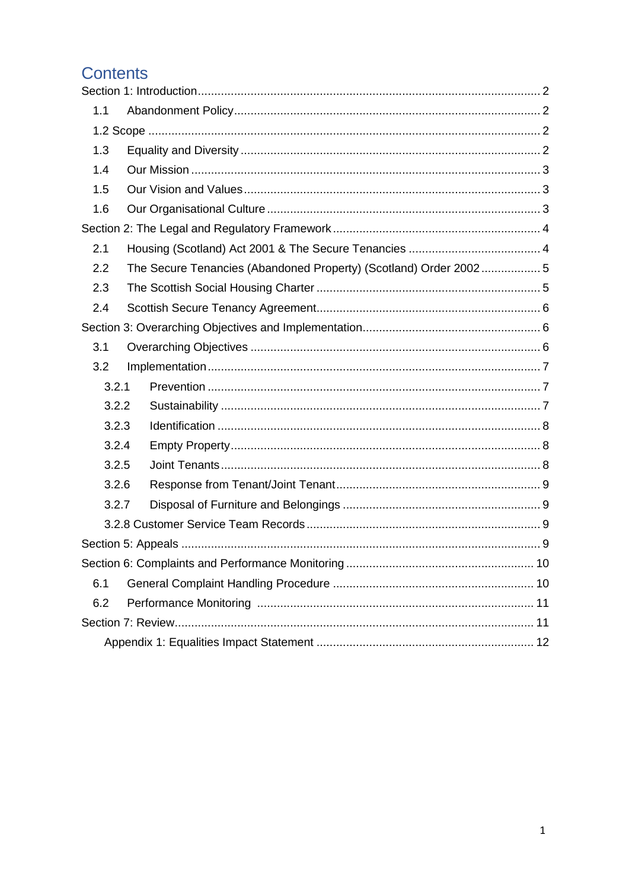# **Contents**

| 1.1   |                                                                  |  |  |
|-------|------------------------------------------------------------------|--|--|
|       |                                                                  |  |  |
| 1.3   |                                                                  |  |  |
| 1.4   |                                                                  |  |  |
| 1.5   |                                                                  |  |  |
| 1.6   |                                                                  |  |  |
|       |                                                                  |  |  |
| 2.1   |                                                                  |  |  |
| 2.2   | The Secure Tenancies (Abandoned Property) (Scotland) Order 20025 |  |  |
| 2.3   |                                                                  |  |  |
| 2.4   |                                                                  |  |  |
|       |                                                                  |  |  |
| 3.1   |                                                                  |  |  |
| 3.2   |                                                                  |  |  |
| 3.2.1 |                                                                  |  |  |
| 3.2.2 |                                                                  |  |  |
| 3.2.3 |                                                                  |  |  |
| 3.2.4 |                                                                  |  |  |
| 3.2.5 |                                                                  |  |  |
| 3.2.6 |                                                                  |  |  |
| 3.2.7 |                                                                  |  |  |
|       |                                                                  |  |  |
|       |                                                                  |  |  |
|       |                                                                  |  |  |
| 6.1   |                                                                  |  |  |
| 6.2   |                                                                  |  |  |
|       |                                                                  |  |  |
|       |                                                                  |  |  |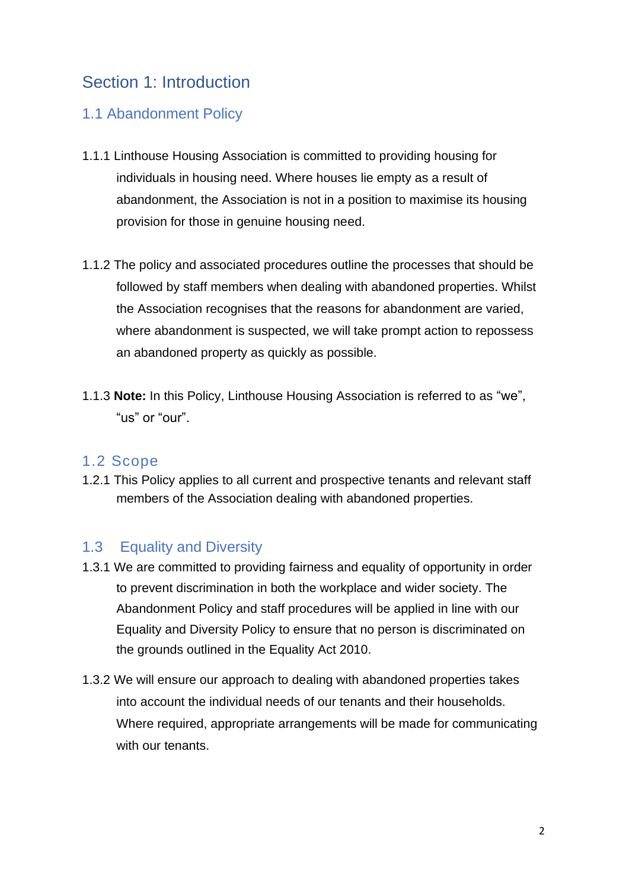## Section 1: Introduction

### 1.1 Abandonment Policy

- 1.1.1 Linthouse Housing Association is committed to providing housing for individuals in housing need. Where houses lie empty as a result of abandonment, the Association is not in a position to maximise its housing provision for those in genuine housing need.
- 1.1.2 The policy and associated procedures outline the processes that should be followed by staff members when dealing with abandoned properties. Whilst the Association recognises that the reasons for abandonment are varied, where abandonment is suspected, we will take prompt action to repossess an abandoned property as quickly as possible.
- 1.1.3 **Note:** In this Policy, Linthouse Housing Association is referred to as "we", "us" or "our".

#### 1.2 Scope

1.2.1 This Policy applies to all current and prospective tenants and relevant staff members of the Association dealing with abandoned properties.

### 1.3 Equality and Diversity

- 1.3.1 We are committed to providing fairness and equality of opportunity in order to prevent discrimination in both the workplace and wider society. The Abandonment Policy and staff procedures will be applied in line with our Equality and Diversity Policy to ensure that no person is discriminated on the grounds outlined in the Equality Act 2010.
- 1.3.2 We will ensure our approach to dealing with abandoned properties takes into account the individual needs of our tenants and their households. Where required, appropriate arrangements will be made for communicating with our tenants.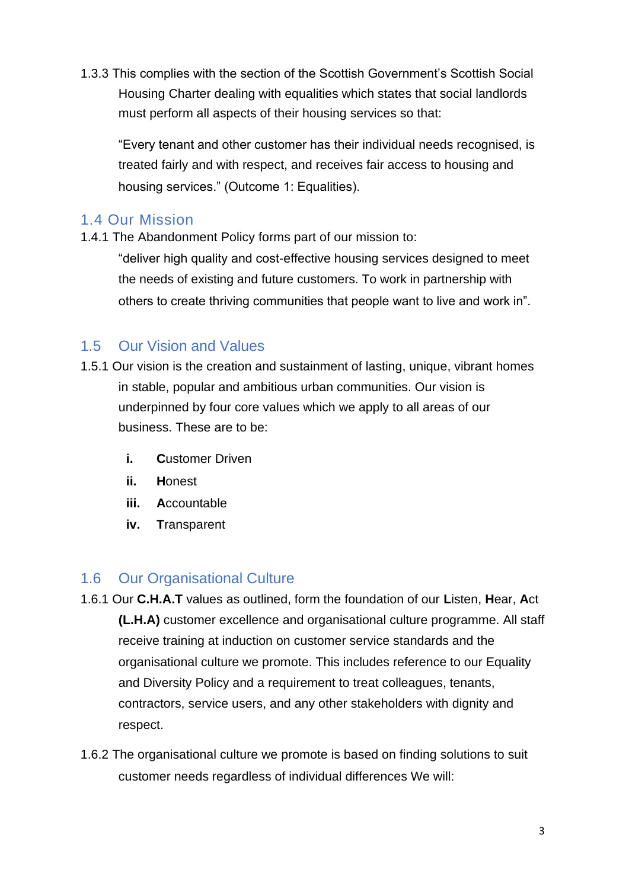1.3.3 This complies with the section of the Scottish Government's Scottish Social Housing Charter dealing with equalities which states that social landlords must perform all aspects of their housing services so that:

"Every tenant and other customer has their individual needs recognised, is treated fairly and with respect, and receives fair access to housing and housing services." (Outcome 1: Equalities).

#### 1.4 Our Mission

1.4.1 The Abandonment Policy forms part of our mission to:

"deliver high quality and cost-effective housing services designed to meet the needs of existing and future customers. To work in partnership with others to create thriving communities that people want to live and work in".

### 1.5 Our Vision and Values

- 1.5.1 Our vision is the creation and sustainment of lasting, unique, vibrant homes in stable, popular and ambitious urban communities. Our vision is underpinned by four core values which we apply to all areas of our business. These are to be:
	- **i. C**ustomer Driven
	- **ii. H**onest
	- **iii. A**ccountable
	- **iv. T**ransparent

#### 1.6 Our Organisational Culture

- 1.6.1 Our **C.H.A.T** values as outlined, form the foundation of our **L**isten, **H**ear, **A**ct **(L.H.A)** customer excellence and organisational culture programme. All staff receive training at induction on customer service standards and the organisational culture we promote. This includes reference to our Equality and Diversity Policy and a requirement to treat colleagues, tenants, contractors, service users, and any other stakeholders with dignity and respect.
- 1.6.2 The organisational culture we promote is based on finding solutions to suit customer needs regardless of individual differences We will: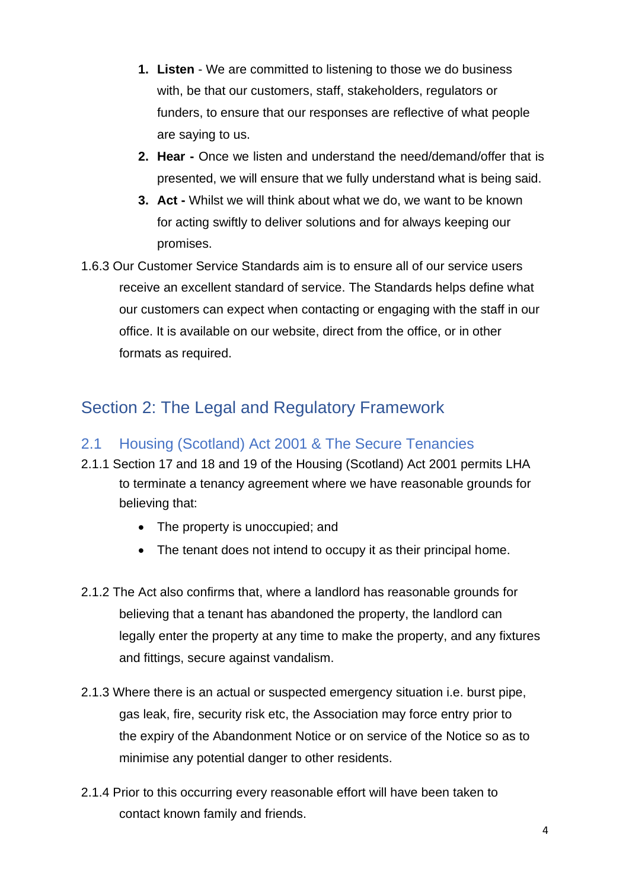- **1. Listen**  We are committed to listening to those we do business with, be that our customers, staff, stakeholders, regulators or funders, to ensure that our responses are reflective of what people are saying to us.
- **2. Hear -** Once we listen and understand the need/demand/offer that is presented, we will ensure that we fully understand what is being said.
- **3. Act -** Whilst we will think about what we do, we want to be known for acting swiftly to deliver solutions and for always keeping our promises.
- 1.6.3 Our Customer Service Standards aim is to ensure all of our service users receive an excellent standard of service. The Standards helps define what our customers can expect when contacting or engaging with the staff in our office. It is available on our website, direct from the office, or in other formats as required.

# Section 2: The Legal and Regulatory Framework

### 2.1 Housing (Scotland) Act 2001 & The Secure Tenancies

- 2.1.1 Section 17 and 18 and 19 of the Housing (Scotland) Act 2001 permits LHA to terminate a tenancy agreement where we have reasonable grounds for believing that:
	- The property is unoccupied; and
	- The tenant does not intend to occupy it as their principal home.
- 2.1.2 The Act also confirms that, where a landlord has reasonable grounds for believing that a tenant has abandoned the property, the landlord can legally enter the property at any time to make the property, and any fixtures and fittings, secure against vandalism.
- 2.1.3 Where there is an actual or suspected emergency situation i.e. burst pipe, gas leak, fire, security risk etc, the Association may force entry prior to the expiry of the Abandonment Notice or on service of the Notice so as to minimise any potential danger to other residents.
- 2.1.4 Prior to this occurring every reasonable effort will have been taken to contact known family and friends.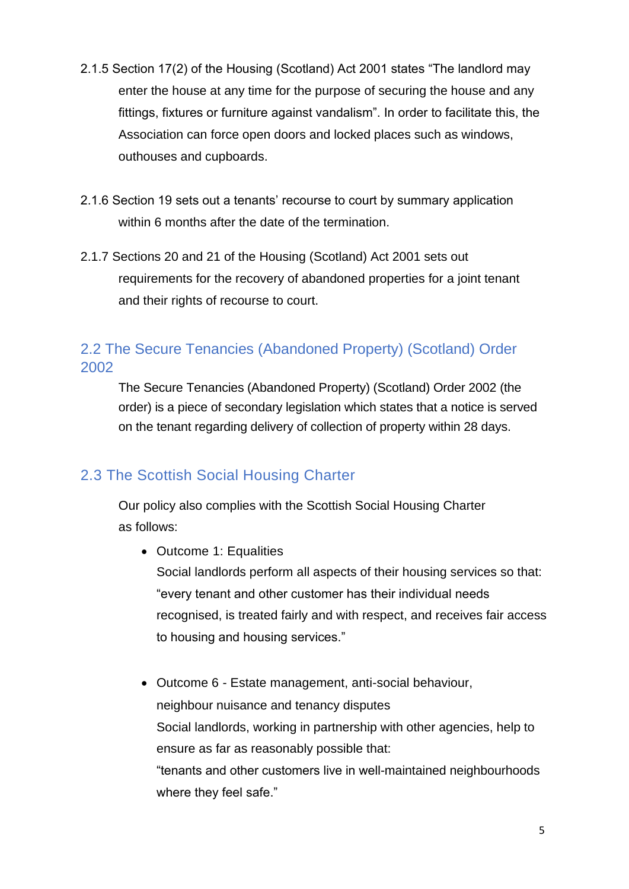- 2.1.5 Section 17(2) of the Housing (Scotland) Act 2001 states "The landlord may enter the house at any time for the purpose of securing the house and any fittings, fixtures or furniture against vandalism". In order to facilitate this, the Association can force open doors and locked places such as windows, outhouses and cupboards.
- 2.1.6 Section 19 sets out a tenants' recourse to court by summary application within 6 months after the date of the termination.
- 2.1.7 Sections 20 and 21 of the Housing (Scotland) Act 2001 sets out requirements for the recovery of abandoned properties for a joint tenant and their rights of recourse to court.

## 2.2 The Secure Tenancies (Abandoned Property) (Scotland) Order 2002

The Secure Tenancies (Abandoned Property) (Scotland) Order 2002 (the order) is a piece of secondary legislation which states that a notice is served on the tenant regarding delivery of collection of property within 28 days.

## 2.3 The Scottish Social Housing Charter

Our policy also complies with the Scottish Social Housing Charter as follows:

• Outcome 1: Equalities

Social landlords perform all aspects of their housing services so that: "every tenant and other customer has their individual needs recognised, is treated fairly and with respect, and receives fair access to housing and housing services."

• Outcome 6 - Estate management, anti-social behaviour, neighbour nuisance and tenancy disputes Social landlords, working in partnership with other agencies, help to ensure as far as reasonably possible that: "tenants and other customers live in well-maintained neighbourhoods where they feel safe."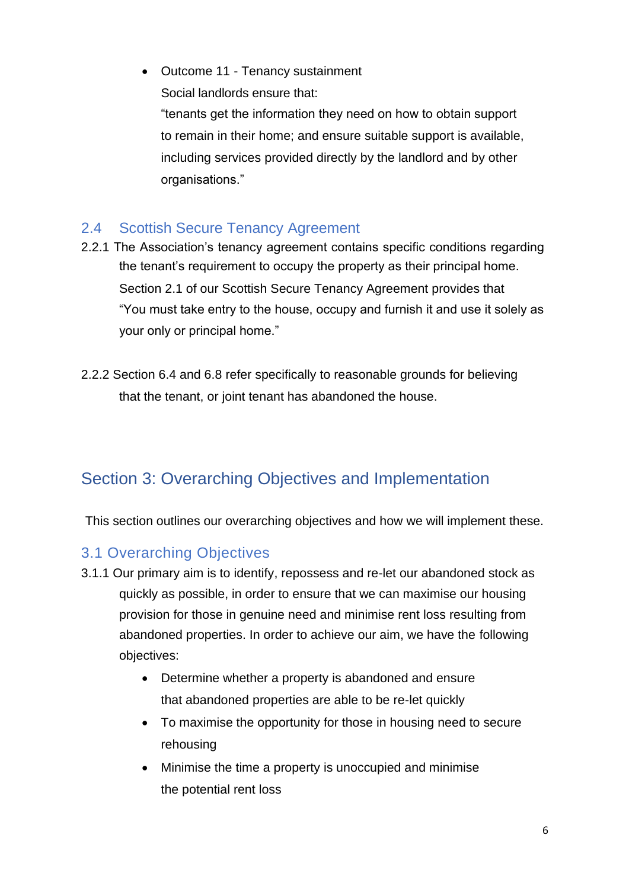• Outcome 11 - Tenancy sustainment Social landlords ensure that:

"tenants get the information they need on how to obtain support to remain in their home; and ensure suitable support is available, including services provided directly by the landlord and by other organisations."

### 2.4 Scottish Secure Tenancy Agreement

- 2.2.1 The Association's tenancy agreement contains specific conditions regarding the tenant's requirement to occupy the property as their principal home. Section 2.1 of our Scottish Secure Tenancy Agreement provides that "You must take entry to the house, occupy and furnish it and use it solely as your only or principal home."
- 2.2.2 Section 6.4 and 6.8 refer specifically to reasonable grounds for believing that the tenant, or joint tenant has abandoned the house.

# Section 3: Overarching Objectives and Implementation

This section outlines our overarching objectives and how we will implement these.

### 3.1 Overarching Objectives

- 3.1.1 Our primary aim is to identify, repossess and re-let our abandoned stock as quickly as possible, in order to ensure that we can maximise our housing provision for those in genuine need and minimise rent loss resulting from abandoned properties. In order to achieve our aim, we have the following objectives:
	- Determine whether a property is abandoned and ensure that abandoned properties are able to be re-let quickly
	- To maximise the opportunity for those in housing need to secure rehousing
	- Minimise the time a property is unoccupied and minimise the potential rent loss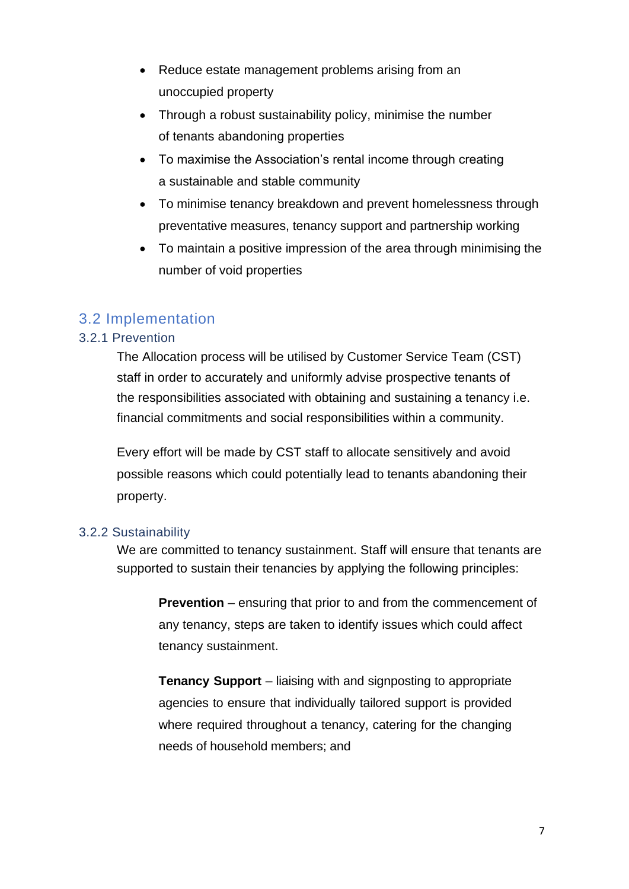- Reduce estate management problems arising from an unoccupied property
- Through a robust sustainability policy, minimise the number of tenants abandoning properties
- To maximise the Association's rental income through creating a sustainable and stable community
- To minimise tenancy breakdown and prevent homelessness through preventative measures, tenancy support and partnership working
- To maintain a positive impression of the area through minimising the number of void properties

### 3.2 Implementation

#### 3.2.1 Prevention

The Allocation process will be utilised by Customer Service Team (CST) staff in order to accurately and uniformly advise prospective tenants of the responsibilities associated with obtaining and sustaining a tenancy i.e. financial commitments and social responsibilities within a community.

Every effort will be made by CST staff to allocate sensitively and avoid possible reasons which could potentially lead to tenants abandoning their property.

#### 3.2.2 Sustainability

We are committed to tenancy sustainment. Staff will ensure that tenants are supported to sustain their tenancies by applying the following principles:

**Prevention** – ensuring that prior to and from the commencement of any tenancy, steps are taken to identify issues which could affect tenancy sustainment.

**Tenancy Support** – liaising with and signposting to appropriate agencies to ensure that individually tailored support is provided where required throughout a tenancy, catering for the changing needs of household members; and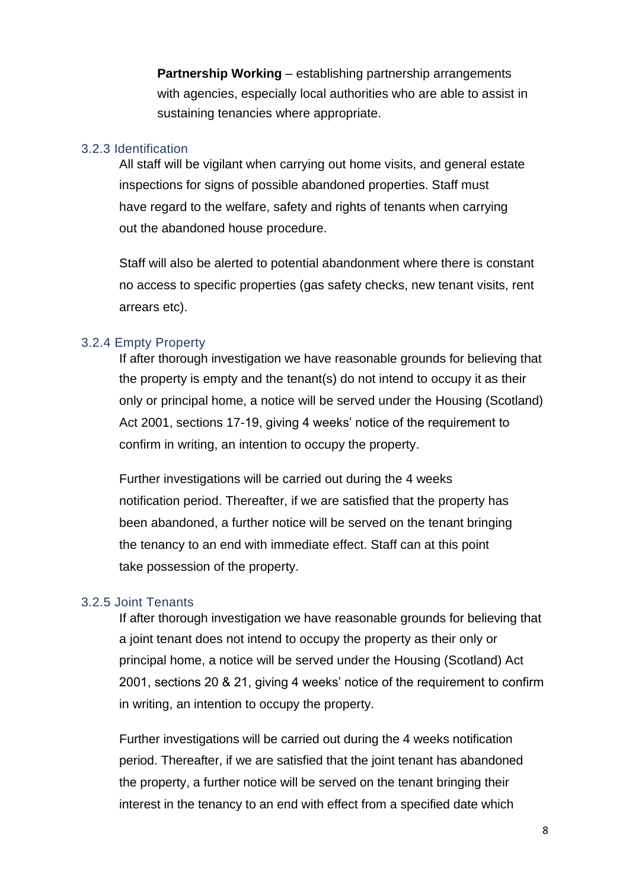**Partnership Working** – establishing partnership arrangements with agencies, especially local authorities who are able to assist in sustaining tenancies where appropriate.

#### 3.2.3 Identification

All staff will be vigilant when carrying out home visits, and general estate inspections for signs of possible abandoned properties. Staff must have regard to the welfare, safety and rights of tenants when carrying out the abandoned house procedure.

Staff will also be alerted to potential abandonment where there is constant no access to specific properties (gas safety checks, new tenant visits, rent arrears etc).

#### 3.2.4 Empty Property

If after thorough investigation we have reasonable grounds for believing that the property is empty and the tenant(s) do not intend to occupy it as their only or principal home, a notice will be served under the Housing (Scotland) Act 2001, sections 17-19, giving 4 weeks' notice of the requirement to confirm in writing, an intention to occupy the property.

Further investigations will be carried out during the 4 weeks notification period. Thereafter, if we are satisfied that the property has been abandoned, a further notice will be served on the tenant bringing the tenancy to an end with immediate effect. Staff can at this point take possession of the property.

#### 3.2.5 Joint Tenants

If after thorough investigation we have reasonable grounds for believing that a joint tenant does not intend to occupy the property as their only or principal home, a notice will be served under the Housing (Scotland) Act 2001, sections 20 & 21, giving 4 weeks' notice of the requirement to confirm in writing, an intention to occupy the property.

Further investigations will be carried out during the 4 weeks notification period. Thereafter, if we are satisfied that the joint tenant has abandoned the property, a further notice will be served on the tenant bringing their interest in the tenancy to an end with effect from a specified date which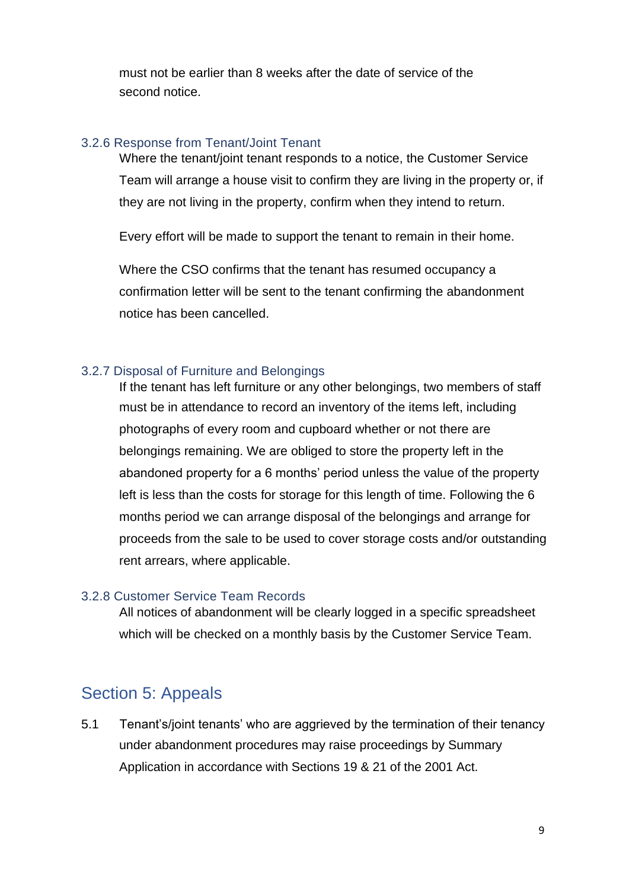must not be earlier than 8 weeks after the date of service of the second notice.

#### 3.2.6 Response from Tenant/Joint Tenant

Where the tenant/joint tenant responds to a notice, the Customer Service Team will arrange a house visit to confirm they are living in the property or, if they are not living in the property, confirm when they intend to return.

Every effort will be made to support the tenant to remain in their home.

Where the CSO confirms that the tenant has resumed occupancy a confirmation letter will be sent to the tenant confirming the abandonment notice has been cancelled.

#### 3.2.7 Disposal of Furniture and Belongings

If the tenant has left furniture or any other belongings, two members of staff must be in attendance to record an inventory of the items left, including photographs of every room and cupboard whether or not there are belongings remaining. We are obliged to store the property left in the abandoned property for a 6 months' period unless the value of the property left is less than the costs for storage for this length of time. Following the 6 months period we can arrange disposal of the belongings and arrange for proceeds from the sale to be used to cover storage costs and/or outstanding rent arrears, where applicable.

#### 3.2.8 Customer Service Team Records

All notices of abandonment will be clearly logged in a specific spreadsheet which will be checked on a monthly basis by the Customer Service Team.

## Section 5: Appeals

5.1 Tenant's/joint tenants' who are aggrieved by the termination of their tenancy under abandonment procedures may raise proceedings by Summary Application in accordance with Sections 19 & 21 of the 2001 Act.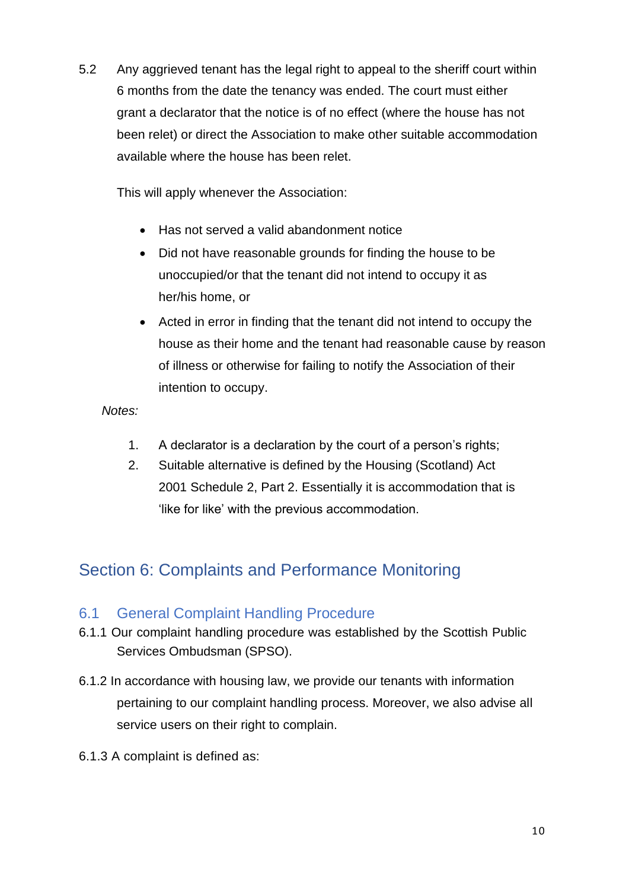5.2 Any aggrieved tenant has the legal right to appeal to the sheriff court within 6 months from the date the tenancy was ended. The court must either grant a declarator that the notice is of no effect (where the house has not been relet) or direct the Association to make other suitable accommodation available where the house has been relet.

This will apply whenever the Association:

- Has not served a valid abandonment notice
- Did not have reasonable grounds for finding the house to be unoccupied/or that the tenant did not intend to occupy it as her/his home, or
- Acted in error in finding that the tenant did not intend to occupy the house as their home and the tenant had reasonable cause by reason of illness or otherwise for failing to notify the Association of their intention to occupy.

#### *Notes:*

- 1. A declarator is a declaration by the court of a person's rights;
- 2. Suitable alternative is defined by the Housing (Scotland) Act 2001 Schedule 2, Part 2. Essentially it is accommodation that is 'like for like' with the previous accommodation.

# Section 6: Complaints and Performance Monitoring

#### 6.1 General Complaint Handling Procedure

- 6.1.1 Our complaint handling procedure was established by the Scottish Public Services Ombudsman (SPSO).
- 6.1.2 In accordance with housing law, we provide our tenants with information pertaining to our complaint handling process. Moreover, we also advise all service users on their right to complain.
- 6.1.3 A complaint is defined as: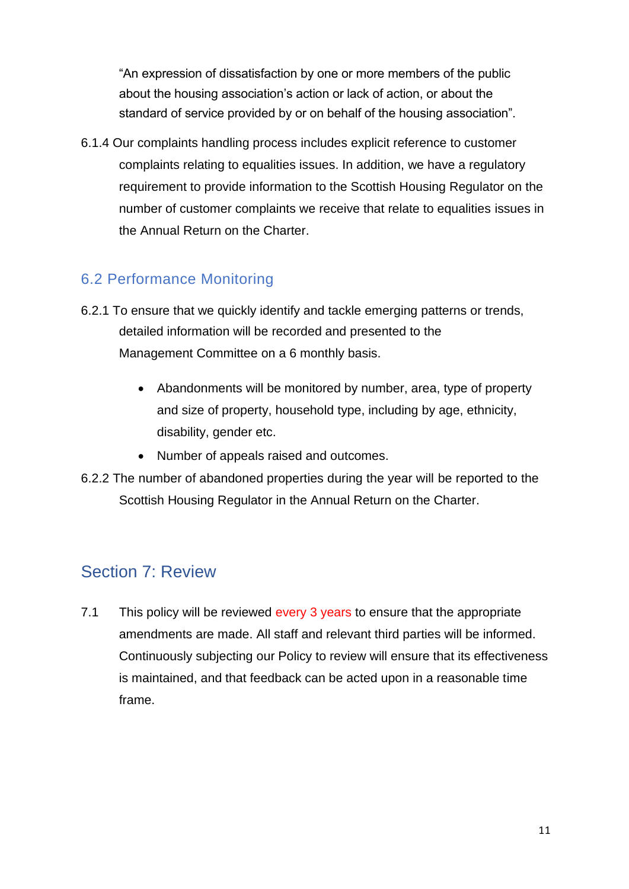"An expression of dissatisfaction by one or more members of the public about the housing association's action or lack of action, or about the standard of service provided by or on behalf of the housing association".

6.1.4 Our complaints handling process includes explicit reference to customer complaints relating to equalities issues. In addition, we have a regulatory requirement to provide information to the Scottish Housing Regulator on the number of customer complaints we receive that relate to equalities issues in the Annual Return on the Charter.

## 6.2 Performance Monitoring

- 6.2.1 To ensure that we quickly identify and tackle emerging patterns or trends, detailed information will be recorded and presented to the Management Committee on a 6 monthly basis.
	- Abandonments will be monitored by number, area, type of property and size of property, household type, including by age, ethnicity, disability, gender etc.
	- Number of appeals raised and outcomes.
- 6.2.2 The number of abandoned properties during the year will be reported to the Scottish Housing Regulator in the Annual Return on the Charter.

## Section 7: Review

7.1 This policy will be reviewed every 3 years to ensure that the appropriate amendments are made. All staff and relevant third parties will be informed. Continuously subjecting our Policy to review will ensure that its effectiveness is maintained, and that feedback can be acted upon in a reasonable time frame.